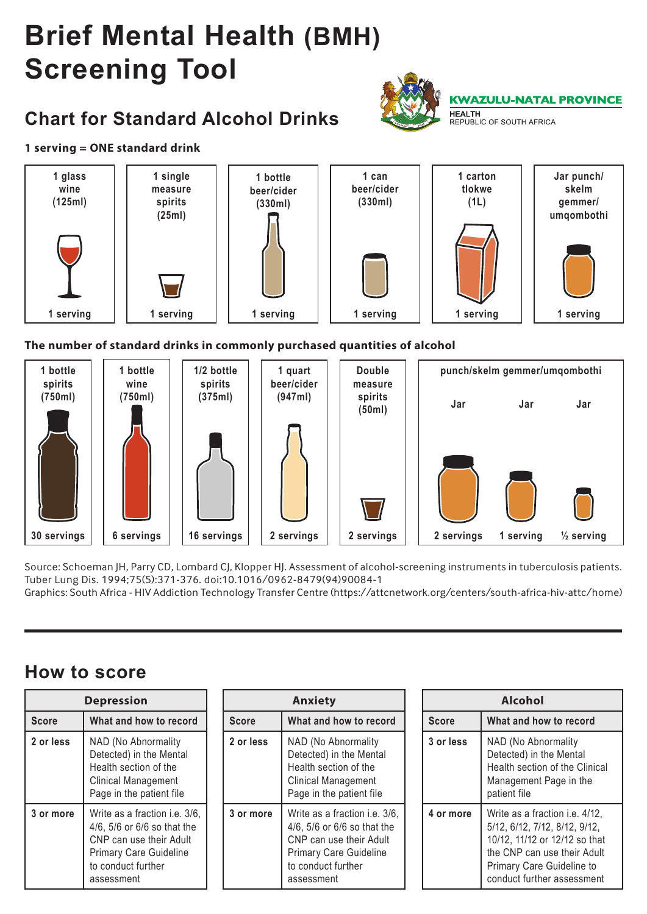# **Brief Mental Health (BMH) Screening Tool**

## **Chart for Standard Alcohol Drinks**



#### **1 serving = ONE standard drink**



#### **The number of standard drinks in commonly purchased quantities of alcohol**



Source: Schoeman JH, Parry CD, Lombard CJ, Klopper HJ. Assessment of alcohol-screening instruments in tuberculosis patients. Tuber Lung Dis. 1994;75(5):371-376. doi:10.1016/0962-8479(94)90084-1

Graphics: South Africa - HIV Addiction Technology Transfer Centre (https://attcnetwork.org/centers/south-africa-hiv-attc/home)

### **How to score**

| <b>Depression</b> |                                                                                                                                                              | <b>Anxiety</b> |                                                                                                                                                              |  | <b>Alcohol</b> |                                                                                                                                                                                                   |  |
|-------------------|--------------------------------------------------------------------------------------------------------------------------------------------------------------|----------------|--------------------------------------------------------------------------------------------------------------------------------------------------------------|--|----------------|---------------------------------------------------------------------------------------------------------------------------------------------------------------------------------------------------|--|
| <b>Score</b>      | What and how to record                                                                                                                                       | <b>Score</b>   | What and how to record                                                                                                                                       |  | <b>Score</b>   | What and how to record                                                                                                                                                                            |  |
| 2 or less         | NAD (No Abnormality<br>Detected) in the Mental<br>Health section of the<br><b>Clinical Management</b><br>Page in the patient file                            | 2 or less      | NAD (No Abnormality<br>Detected) in the Mental<br>Health section of the<br><b>Clinical Management</b><br>Page in the patient file                            |  | 3 or less      | NAD (No Abnormality<br>Detected) in the Mental<br>Health section of the Clinical<br>Management Page in the<br>patient file                                                                        |  |
| 3 or more         | Write as a fraction i.e. 3/6.<br>4/6, 5/6 or 6/6 so that the<br>CNP can use their Adult<br><b>Primary Care Guideline</b><br>to conduct further<br>assessment | 3 or more      | Write as a fraction i.e. 3/6,<br>4/6, 5/6 or 6/6 so that the<br>CNP can use their Adult<br><b>Primary Care Guideline</b><br>to conduct further<br>assessment |  | 4 or more      | Write as a fraction <i>i.e.</i> 4/12,<br>5/12, 6/12, 7/12, 8/12, 9/12,<br>10/12, 11/12 or 12/12 so that<br>the CNP can use their Adult<br>Primary Care Guideline to<br>conduct further assessment |  |